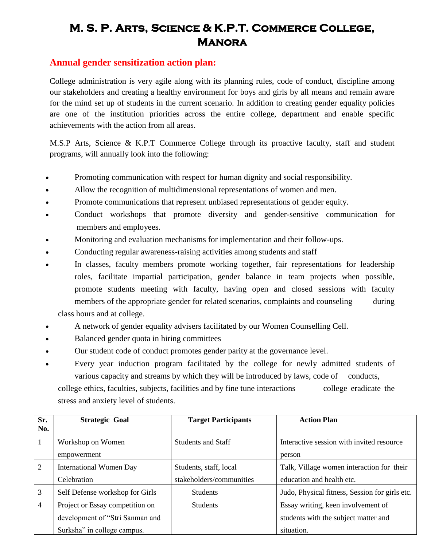## **M. S. P. Arts, Science & K.P.T. Commerce College, Manora**

## **Annual gender sensitization action plan:**

College administration is very agile along with its planning rules, code of conduct, discipline among our stakeholders and creating a healthy environment for boys and girls by all means and remain aware for the mind set up of students in the current scenario. In addition to creating gender equality policies are one of the institution priorities across the entire college, department and enable specific achievements with the action from all areas.

M.S.P Arts, Science & K.P.T Commerce College through its proactive faculty, staff and student programs, will annually look into the following:

- Promoting communication with respect for human dignity and social responsibility.
- Allow the recognition of multidimensional representations of women and men.
- Promote communications that represent unbiased representations of gender equity.
- Conduct workshops that promote diversity and gender-sensitive communication for members and employees.
- Monitoring and evaluation mechanisms for implementation and their follow-ups.
- Conducting regular awareness-raising activities among students and staff
- In classes, faculty members promote working together, fair representations for leadership roles, facilitate impartial participation, gender balance in team projects when possible, promote students meeting with faculty, having open and closed sessions with faculty members of the appropriate gender for related scenarios, complaints and counseling during

class hours and at college.

- A network of gender equality advisers facilitated by our Women Counselling Cell.
- Balanced gender quota in hiring committees
- Our student code of conduct promotes gender parity at the governance level.
- Every year induction program facilitated by the college for newly admitted students of various capacity and streams by which they will be introduced by laws, code of conducts, college ethics, faculties, subjects, facilities and by fine tune interactions college eradicate the stress and anxiety level of students.

| Sr.<br>No.     | <b>Strategic Goal</b>           | <b>Target Participants</b> | <b>Action Plan</b>                             |
|----------------|---------------------------------|----------------------------|------------------------------------------------|
| 1              | Workshop on Women               | <b>Students and Staff</b>  | Interactive session with invited resource      |
|                | empowerment                     |                            | person                                         |
| $\overline{2}$ | <b>International Women Day</b>  | Students, staff, local     | Talk, Village women interaction for their      |
|                | Celebration                     | stakeholders/communities   | education and health etc.                      |
| 3              | Self Defense workshop for Girls | <b>Students</b>            | Judo, Physical fitness, Session for girls etc. |
| $\overline{4}$ | Project or Essay competition on | <b>Students</b>            | Essay writing, keen involvement of             |
|                | development of "Stri Sanman and |                            | students with the subject matter and           |
|                | Surksha" in college campus.     |                            | situation.                                     |